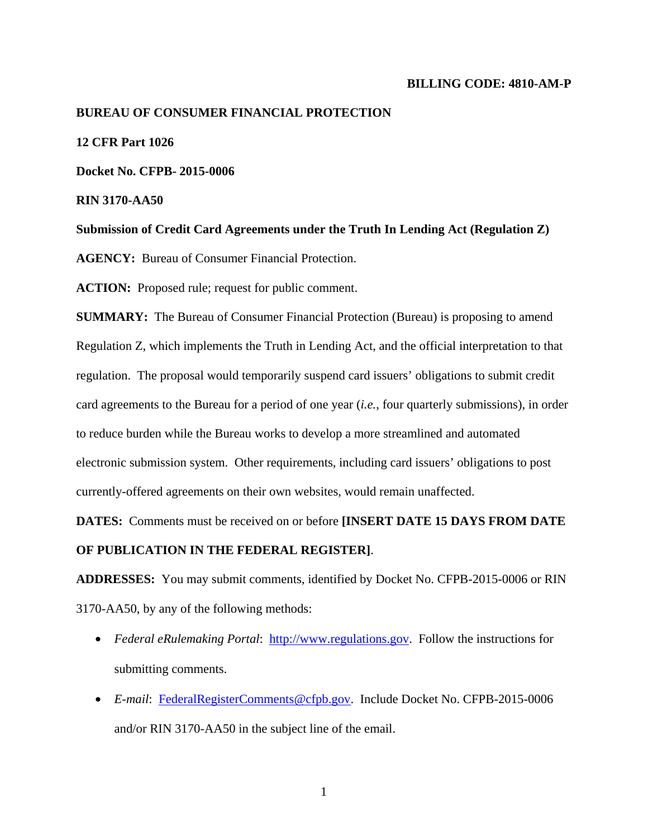#### **BILLING CODE: 4810-AM-P**

# **BUREAU OF CONSUMER FINANCIAL PROTECTION**

# **12 CFR Part 1026**

**Docket No. CFPB- 2015-0006** 

**RIN 3170-AA50** 

**Submission of Credit Card Agreements under the Truth In Lending Act (Regulation Z)** 

**AGENCY:** Bureau of Consumer Financial Protection.

ACTION: Proposed rule; request for public comment.

**SUMMARY:** The Bureau of Consumer Financial Protection (Bureau) is proposing to amend Regulation Z, which implements the Truth in Lending Act, and the official interpretation to that regulation. The proposal would temporarily suspend card issuers' obligations to submit credit card agreements to the Bureau for a period of one year (*i.e.*, four quarterly submissions), in order to reduce burden while the Bureau works to develop a more streamlined and automated electronic submission system. Other requirements, including card issuers' obligations to post currently-offered agreements on their own websites, would remain unaffected.

**DATES:** Comments must be received on or before **[INSERT DATE 15 DAYS FROM DATE OF PUBLICATION IN THE FEDERAL REGISTER]**.

**ADDRESSES:** You may submit comments, identified by Docket No. CFPB-2015-0006 or RIN 3170-AA50, by any of the following methods:

- *Federal eRulemaking Portal*: http://www.regulations.gov. Follow the instructions for submitting comments.
- *E-mail*: FederalRegisterComments@cfpb.gov. Include Docket No. CFPB-2015-0006 and/or RIN 3170-AA50 in the subject line of the email.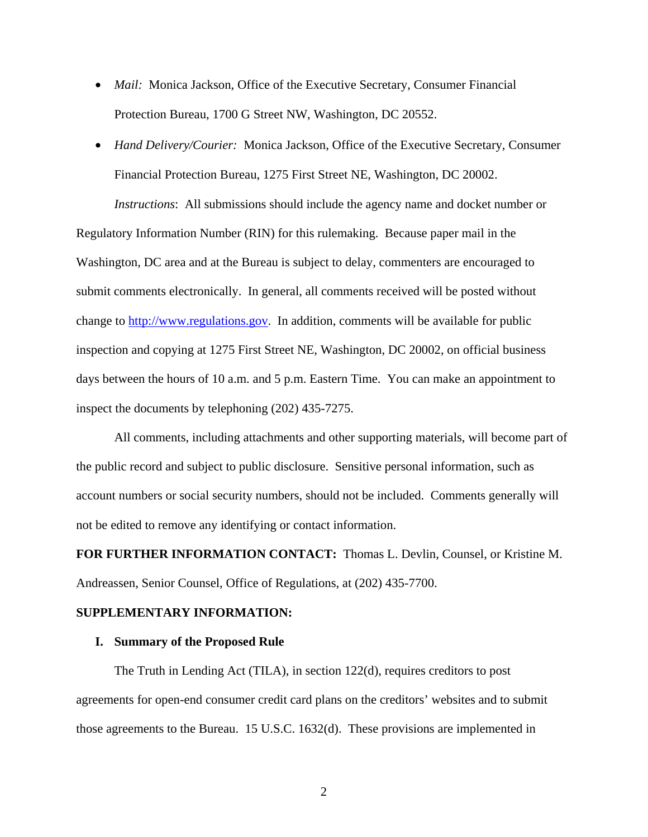- *Mail:* Monica Jackson, Office of the Executive Secretary, Consumer Financial Protection Bureau, 1700 G Street NW, Washington, DC 20552.
- *Hand Delivery/Courier:* Monica Jackson, Office of the Executive Secretary, Consumer Financial Protection Bureau, 1275 First Street NE, Washington, DC 20002.

*Instructions*: All submissions should include the agency name and docket number or

Regulatory Information Number (RIN) for this rulemaking. Because paper mail in the Washington, DC area and at the Bureau is subject to delay, commenters are encouraged to submit comments electronically. In general, all comments received will be posted without change to http://www.regulations.gov. In addition, comments will be available for public inspection and copying at 1275 First Street NE, Washington, DC 20002, on official business days between the hours of 10 a.m. and 5 p.m. Eastern Time. You can make an appointment to inspect the documents by telephoning (202) 435-7275.

All comments, including attachments and other supporting materials, will become part of the public record and subject to public disclosure. Sensitive personal information, such as account numbers or social security numbers, should not be included. Comments generally will not be edited to remove any identifying or contact information.

**FOR FURTHER INFORMATION CONTACT:** Thomas L. Devlin, Counsel, or Kristine M. Andreassen, Senior Counsel, Office of Regulations, at (202) 435-7700.

# **SUPPLEMENTARY INFORMATION:**

# **I. Summary of the Proposed Rule**

The Truth in Lending Act (TILA), in section 122(d), requires creditors to post agreements for open-end consumer credit card plans on the creditors' websites and to submit those agreements to the Bureau. 15 U.S.C. 1632(d). These provisions are implemented in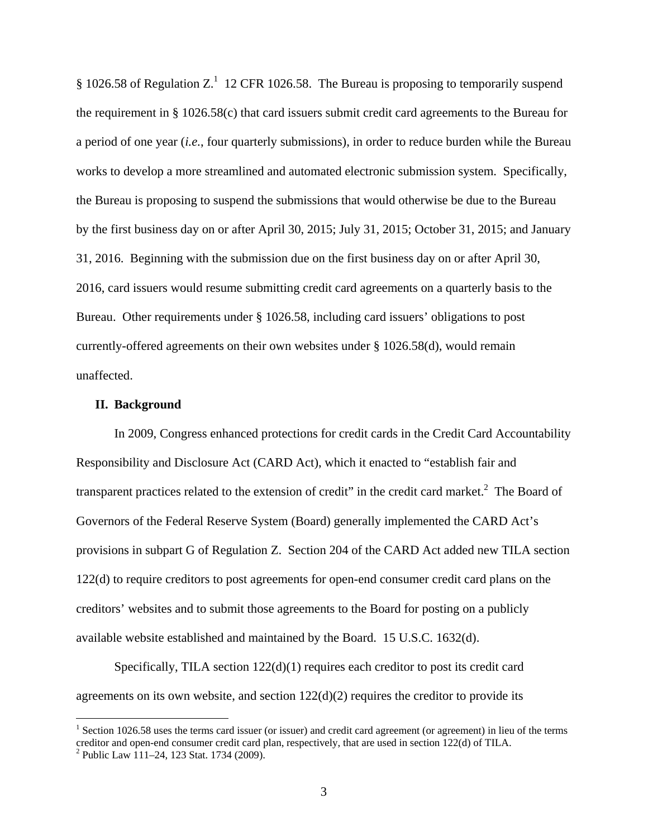§ 1026.58 of Regulation Z.<sup>1</sup> 12 CFR 1026.58. The Bureau is proposing to temporarily suspend the requirement in § 1026.58(c) that card issuers submit credit card agreements to the Bureau for a period of one year (*i.e.*, four quarterly submissions), in order to reduce burden while the Bureau works to develop a more streamlined and automated electronic submission system. Specifically, the Bureau is proposing to suspend the submissions that would otherwise be due to the Bureau by the first business day on or after April 30, 2015; July 31, 2015; October 31, 2015; and January 31, 2016. Beginning with the submission due on the first business day on or after April 30, 2016, card issuers would resume submitting credit card agreements on a quarterly basis to the Bureau. Other requirements under § 1026.58, including card issuers' obligations to post currently-offered agreements on their own websites under § 1026.58(d), would remain unaffected.

#### **II. Background**

In 2009, Congress enhanced protections for credit cards in the Credit Card Accountability Responsibility and Disclosure Act (CARD Act), which it enacted to "establish fair and transparent practices related to the extension of credit" in the credit card market.<sup>2</sup> The Board of Governors of the Federal Reserve System (Board) generally implemented the CARD Act's provisions in subpart G of Regulation Z. Section 204 of the CARD Act added new TILA section 122(d) to require creditors to post agreements for open-end consumer credit card plans on the creditors' websites and to submit those agreements to the Board for posting on a publicly available website established and maintained by the Board. 15 U.S.C. 1632(d).

Specifically, TILA section  $122(d)(1)$  requires each creditor to post its credit card agreements on its own website, and section  $122(d)(2)$  requires the creditor to provide its

 $1$  Section 1026.58 uses the terms card issuer (or issuer) and credit card agreement (or agreement) in lieu of the terms creditor and open-end consumer credit card plan, respectively, that are used in section 122(d) of TILA. 2

 $2$  Public Law 111–24, 123 Stat. 1734 (2009).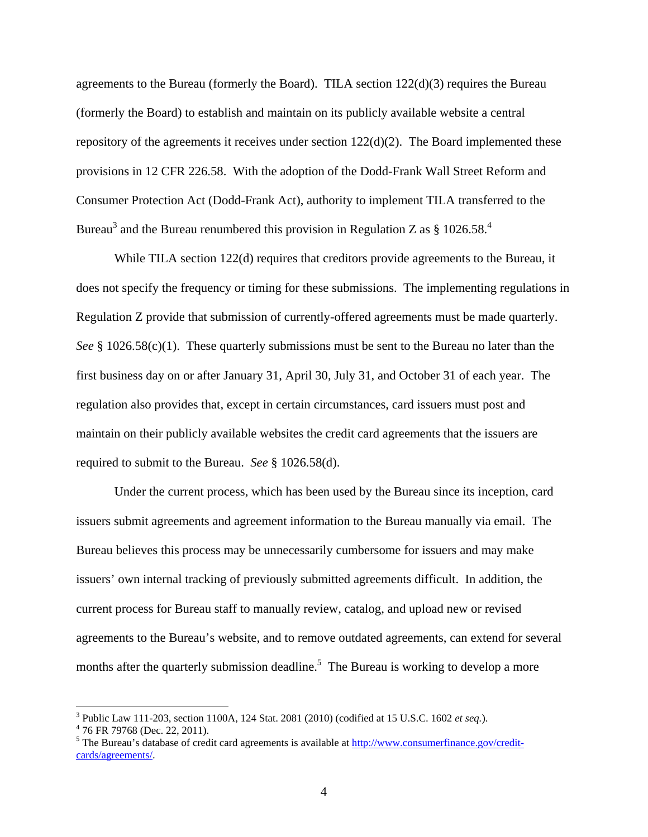agreements to the Bureau (formerly the Board). TILA section  $122(d)(3)$  requires the Bureau (formerly the Board) to establish and maintain on its publicly available website a central repository of the agreements it receives under section 122(d)(2). The Board implemented these provisions in 12 CFR 226.58. With the adoption of the Dodd-Frank Wall Street Reform and Consumer Protection Act (Dodd-Frank Act), authority to implement TILA transferred to the Bureau<sup>3</sup> and the Bureau renumbered this provision in Regulation Z as § 1026.58.<sup>4</sup>

While TILA section 122(d) requires that creditors provide agreements to the Bureau, it does not specify the frequency or timing for these submissions. The implementing regulations in Regulation Z provide that submission of currently-offered agreements must be made quarterly. *See* § 1026.58(c)(1). These quarterly submissions must be sent to the Bureau no later than the first business day on or after January 31, April 30, July 31, and October 31 of each year. The regulation also provides that, except in certain circumstances, card issuers must post and maintain on their publicly available websites the credit card agreements that the issuers are required to submit to the Bureau. *See* § 1026.58(d).

Under the current process, which has been used by the Bureau since its inception, card issuers submit agreements and agreement information to the Bureau manually via email. The Bureau believes this process may be unnecessarily cumbersome for issuers and may make issuers' own internal tracking of previously submitted agreements difficult. In addition, the current process for Bureau staff to manually review, catalog, and upload new or revised agreements to the Bureau's website, and to remove outdated agreements, can extend for several months after the quarterly submission deadline.<sup>5</sup> The Bureau is working to develop a more

 $\overline{a}$ 

<sup>&</sup>lt;sup>3</sup> Public Law 111-203, section 1100A, 124 Stat. 2081 (2010) (codified at 15 U.S.C. 1602 *et seq.*).  $^{4}$  76 EP 70768 (Dec 22, 2011).

<sup>&</sup>lt;sup>4</sup> 76 FR 79768 (Dec. 22, 2011).

<sup>&</sup>lt;sup>5</sup> The Bureau's database of credit card agreements is available at http://www.consumerfinance.gov/creditcards/agreements/.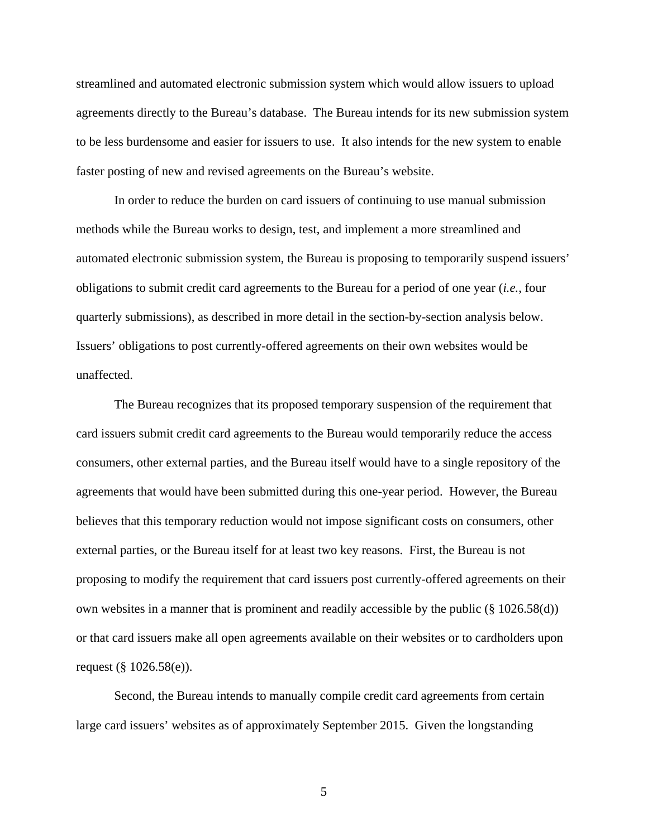streamlined and automated electronic submission system which would allow issuers to upload agreements directly to the Bureau's database. The Bureau intends for its new submission system to be less burdensome and easier for issuers to use. It also intends for the new system to enable faster posting of new and revised agreements on the Bureau's website.

In order to reduce the burden on card issuers of continuing to use manual submission methods while the Bureau works to design, test, and implement a more streamlined and automated electronic submission system, the Bureau is proposing to temporarily suspend issuers' obligations to submit credit card agreements to the Bureau for a period of one year (*i.e.*, four quarterly submissions), as described in more detail in the section-by-section analysis below. Issuers' obligations to post currently-offered agreements on their own websites would be unaffected.

The Bureau recognizes that its proposed temporary suspension of the requirement that card issuers submit credit card agreements to the Bureau would temporarily reduce the access consumers, other external parties, and the Bureau itself would have to a single repository of the agreements that would have been submitted during this one-year period. However, the Bureau believes that this temporary reduction would not impose significant costs on consumers, other external parties, or the Bureau itself for at least two key reasons. First, the Bureau is not proposing to modify the requirement that card issuers post currently-offered agreements on their own websites in a manner that is prominent and readily accessible by the public (§ 1026.58(d)) or that card issuers make all open agreements available on their websites or to cardholders upon request (§ 1026.58(e)).

Second, the Bureau intends to manually compile credit card agreements from certain large card issuers' websites as of approximately September 2015. Given the longstanding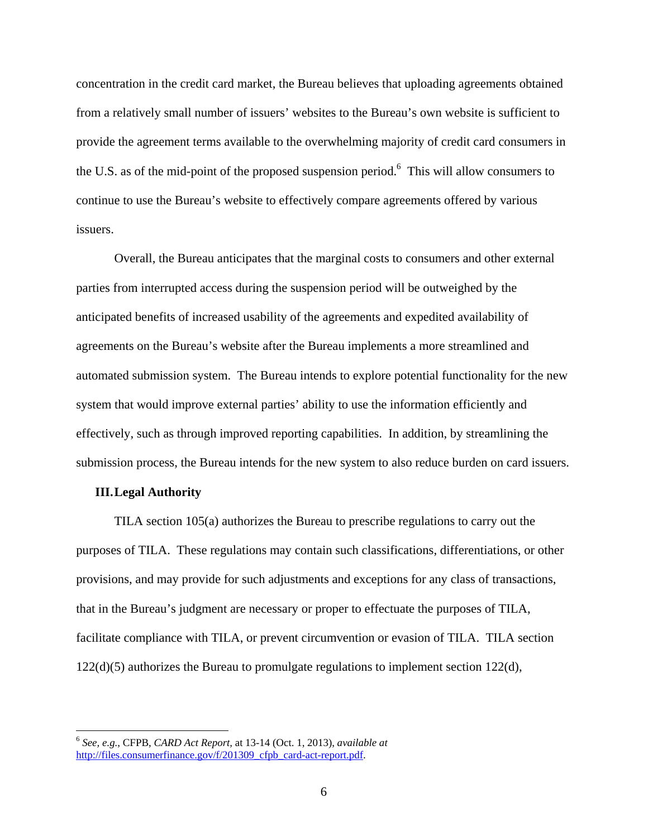concentration in the credit card market, the Bureau believes that uploading agreements obtained from a relatively small number of issuers' websites to the Bureau's own website is sufficient to provide the agreement terms available to the overwhelming majority of credit card consumers in the U.S. as of the mid-point of the proposed suspension period.<sup>6</sup> This will allow consumers to continue to use the Bureau's website to effectively compare agreements offered by various issuers.

Overall, the Bureau anticipates that the marginal costs to consumers and other external parties from interrupted access during the suspension period will be outweighed by the anticipated benefits of increased usability of the agreements and expedited availability of agreements on the Bureau's website after the Bureau implements a more streamlined and automated submission system. The Bureau intends to explore potential functionality for the new system that would improve external parties' ability to use the information efficiently and effectively, such as through improved reporting capabilities. In addition, by streamlining the submission process, the Bureau intends for the new system to also reduce burden on card issuers.

# **III. Legal Authority**

 $\overline{a}$ 

TILA section 105(a) authorizes the Bureau to prescribe regulations to carry out the purposes of TILA. These regulations may contain such classifications, differentiations, or other provisions, and may provide for such adjustments and exceptions for any class of transactions, that in the Bureau's judgment are necessary or proper to effectuate the purposes of TILA, facilitate compliance with TILA, or prevent circumvention or evasion of TILA. TILA section  $122(d)(5)$  authorizes the Bureau to promulgate regulations to implement section  $122(d)$ ,

<sup>6</sup> *See, e.g.*, CFPB, *CARD Act Report,* at 13-14 (Oct. 1, 2013), *available at* http://files.consumerfinance.gov/f/201309\_cfpb\_card-act-report.pdf.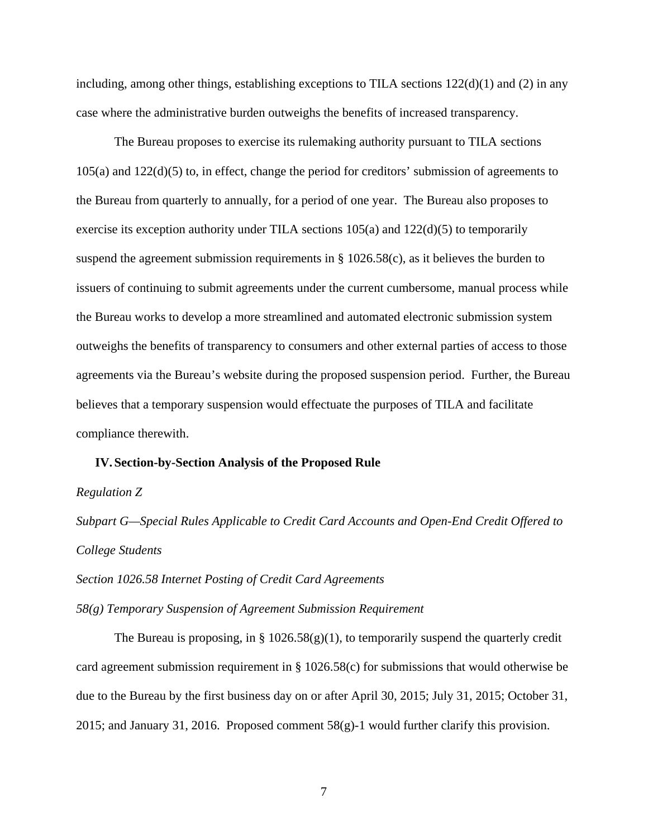including, among other things, establishing exceptions to TILA sections  $122(d)(1)$  and (2) in any case where the administrative burden outweighs the benefits of increased transparency.

The Bureau proposes to exercise its rulemaking authority pursuant to TILA sections 105(a) and 122(d)(5) to, in effect, change the period for creditors' submission of agreements to the Bureau from quarterly to annually, for a period of one year. The Bureau also proposes to exercise its exception authority under TILA sections 105(a) and 122(d)(5) to temporarily suspend the agreement submission requirements in  $\S$  1026.58(c), as it believes the burden to issuers of continuing to submit agreements under the current cumbersome, manual process while the Bureau works to develop a more streamlined and automated electronic submission system outweighs the benefits of transparency to consumers and other external parties of access to those agreements via the Bureau's website during the proposed suspension period. Further, the Bureau believes that a temporary suspension would effectuate the purposes of TILA and facilitate compliance therewith.

# **IV. Section-by-Section Analysis of the Proposed Rule**

*Regulation Z* 

*Subpart G—Special Rules Applicable to Credit Card Accounts and Open-End Credit Offered to College Students* 

*Section 1026.58 Internet Posting of Credit Card Agreements* 

*58(g) Temporary Suspension of Agreement Submission Requirement* 

The Bureau is proposing, in §  $1026.58(g)(1)$ , to temporarily suspend the quarterly credit card agreement submission requirement in § 1026.58(c) for submissions that would otherwise be due to the Bureau by the first business day on or after April 30, 2015; July 31, 2015; October 31, 2015; and January 31, 2016. Proposed comment 58(g)-1 would further clarify this provision.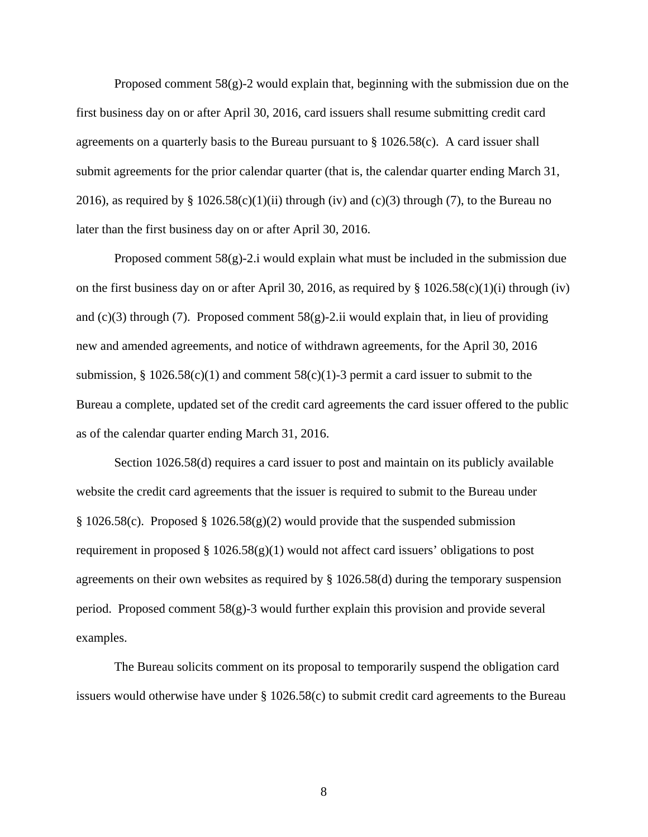Proposed comment 58(g)-2 would explain that, beginning with the submission due on the first business day on or after April 30, 2016, card issuers shall resume submitting credit card agreements on a quarterly basis to the Bureau pursuant to § 1026.58(c). A card issuer shall submit agreements for the prior calendar quarter (that is, the calendar quarter ending March 31, 2016), as required by  $\S 1026.58(c)(1)(ii)$  through (iv) and (c)(3) through (7), to the Bureau no later than the first business day on or after April 30, 2016.

Proposed comment 58(g)-2.i would explain what must be included in the submission due on the first business day on or after April 30, 2016, as required by  $\S 1026.58(c)(1)(i)$  through (iv) and  $(c)(3)$  through (7). Proposed comment 58 $(g)$ -2.ii would explain that, in lieu of providing new and amended agreements, and notice of withdrawn agreements, for the April 30, 2016 submission,  $\S 1026.58(c)(1)$  and comment  $58(c)(1)$ -3 permit a card issuer to submit to the Bureau a complete, updated set of the credit card agreements the card issuer offered to the public as of the calendar quarter ending March 31, 2016.

Section 1026.58(d) requires a card issuer to post and maintain on its publicly available website the credit card agreements that the issuer is required to submit to the Bureau under § 1026.58(c). Proposed § 1026.58(g)(2) would provide that the suspended submission requirement in proposed  $\S 1026.58(g)(1)$  would not affect card issuers' obligations to post agreements on their own websites as required by § 1026.58(d) during the temporary suspension period. Proposed comment  $58(g)-3$  would further explain this provision and provide several examples.

The Bureau solicits comment on its proposal to temporarily suspend the obligation card issuers would otherwise have under § 1026.58(c) to submit credit card agreements to the Bureau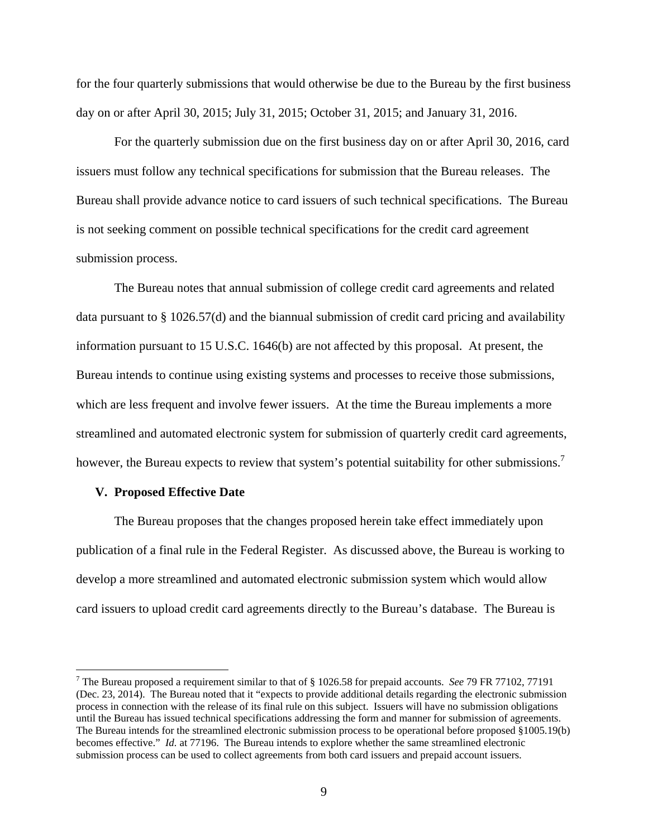for the four quarterly submissions that would otherwise be due to the Bureau by the first business day on or after April 30, 2015; July 31, 2015; October 31, 2015; and January 31, 2016.

For the quarterly submission due on the first business day on or after April 30, 2016, card issuers must follow any technical specifications for submission that the Bureau releases. The Bureau shall provide advance notice to card issuers of such technical specifications. The Bureau is not seeking comment on possible technical specifications for the credit card agreement submission process.

The Bureau notes that annual submission of college credit card agreements and related data pursuant to § 1026.57(d) and the biannual submission of credit card pricing and availability information pursuant to 15 U.S.C. 1646(b) are not affected by this proposal. At present, the Bureau intends to continue using existing systems and processes to receive those submissions, which are less frequent and involve fewer issuers. At the time the Bureau implements a more streamlined and automated electronic system for submission of quarterly credit card agreements, however, the Bureau expects to review that system's potential suitability for other submissions.<sup>7</sup>

# **V. Proposed Effective Date**

 $\overline{a}$ 

The Bureau proposes that the changes proposed herein take effect immediately upon publication of a final rule in the Federal Register. As discussed above, the Bureau is working to develop a more streamlined and automated electronic submission system which would allow card issuers to upload credit card agreements directly to the Bureau's database. The Bureau is

<sup>7</sup> The Bureau proposed a requirement similar to that of § 1026.58 for prepaid accounts. *See* 79 FR 77102, 77191 (Dec. 23, 2014). The Bureau noted that it "expects to provide additional details regarding the electronic submission process in connection with the release of its final rule on this subject. Issuers will have no submission obligations until the Bureau has issued technical specifications addressing the form and manner for submission of agreements. The Bureau intends for the streamlined electronic submission process to be operational before proposed §1005.19(b) becomes effective." *Id.* at 77196. The Bureau intends to explore whether the same streamlined electronic submission process can be used to collect agreements from both card issuers and prepaid account issuers.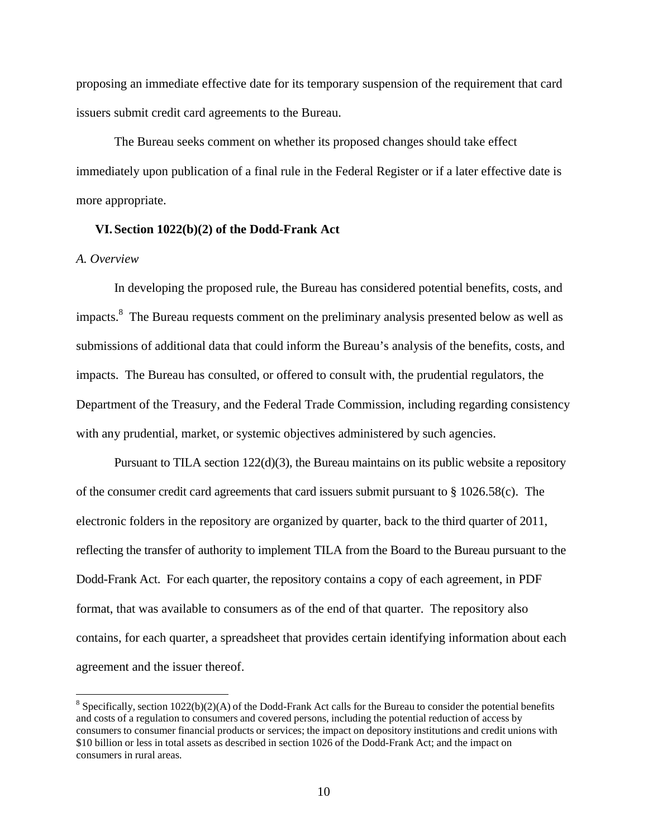proposing an immediate effective date for its temporary suspension of the requirement that card issuers submit credit card agreements to the Bureau.

The Bureau seeks comment on whether its proposed changes should take effect immediately upon publication of a final rule in the Federal Register or if a later effective date is more appropriate.

# **VI. Section 1022(b)(2) of the Dodd-Frank Act**

# *A. Overview*

 $\overline{a}$ 

In developing the proposed rule, the Bureau has considered potential benefits, costs, and impacts.<sup>8</sup> The Bureau requests comment on the preliminary analysis presented below as well as submissions of additional data that could inform the Bureau's analysis of the benefits, costs, and impacts. The Bureau has consulted, or offered to consult with, the prudential regulators, the Department of the Treasury, and the Federal Trade Commission, including regarding consistency with any prudential, market, or systemic objectives administered by such agencies.

Pursuant to TILA section  $122(d)(3)$ , the Bureau maintains on its public website a repository of the consumer credit card agreements that card issuers submit pursuant to § 1026.58(c). The electronic folders in the repository are organized by quarter, back to the third quarter of 2011, reflecting the transfer of authority to implement TILA from the Board to the Bureau pursuant to the Dodd-Frank Act. For each quarter, the repository contains a copy of each agreement, in PDF format, that was available to consumers as of the end of that quarter. The repository also contains, for each quarter, a spreadsheet that provides certain identifying information about each agreement and the issuer thereof.

 $8$  Specifically, section 1022(b)(2)(A) of the Dodd-Frank Act calls for the Bureau to consider the potential benefits and costs of a regulation to consumers and covered persons, including the potential reduction of access by consumers to consumer financial products or services; the impact on depository institutions and credit unions with \$10 billion or less in total assets as described in section 1026 of the Dodd-Frank Act; and the impact on consumers in rural areas.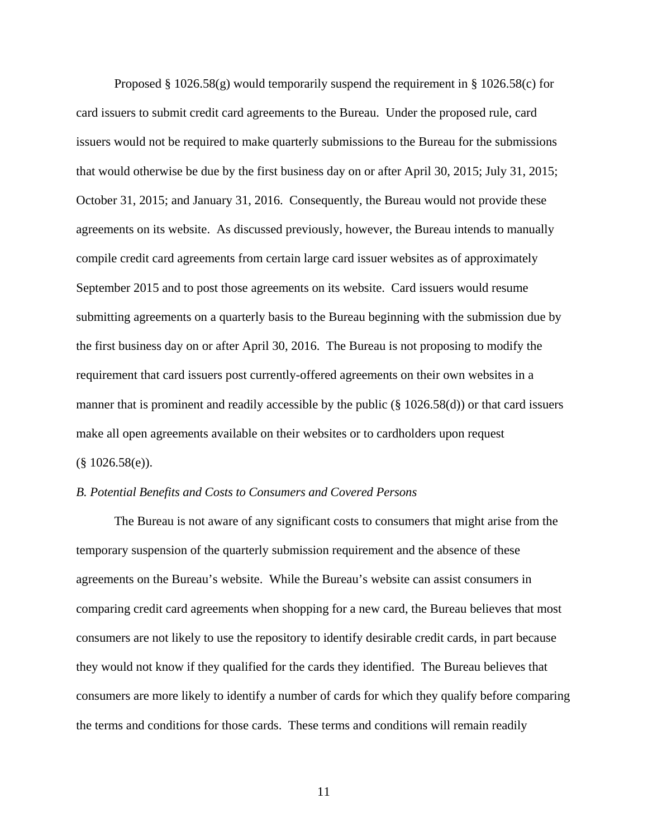Proposed § 1026.58(g) would temporarily suspend the requirement in § 1026.58(c) for card issuers to submit credit card agreements to the Bureau. Under the proposed rule, card issuers would not be required to make quarterly submissions to the Bureau for the submissions that would otherwise be due by the first business day on or after April 30, 2015; July 31, 2015; October 31, 2015; and January 31, 2016. Consequently, the Bureau would not provide these agreements on its website. As discussed previously, however, the Bureau intends to manually compile credit card agreements from certain large card issuer websites as of approximately September 2015 and to post those agreements on its website. Card issuers would resume submitting agreements on a quarterly basis to the Bureau beginning with the submission due by the first business day on or after April 30, 2016. The Bureau is not proposing to modify the requirement that card issuers post currently-offered agreements on their own websites in a manner that is prominent and readily accessible by the public (§ 1026.58(d)) or that card issuers make all open agreements available on their websites or to cardholders upon request  $(\$1026.58(e)).$ 

# *B. Potential Benefits and Costs to Consumers and Covered Persons*

The Bureau is not aware of any significant costs to consumers that might arise from the temporary suspension of the quarterly submission requirement and the absence of these agreements on the Bureau's website. While the Bureau's website can assist consumers in comparing credit card agreements when shopping for a new card, the Bureau believes that most consumers are not likely to use the repository to identify desirable credit cards, in part because they would not know if they qualified for the cards they identified. The Bureau believes that consumers are more likely to identify a number of cards for which they qualify before comparing the terms and conditions for those cards. These terms and conditions will remain readily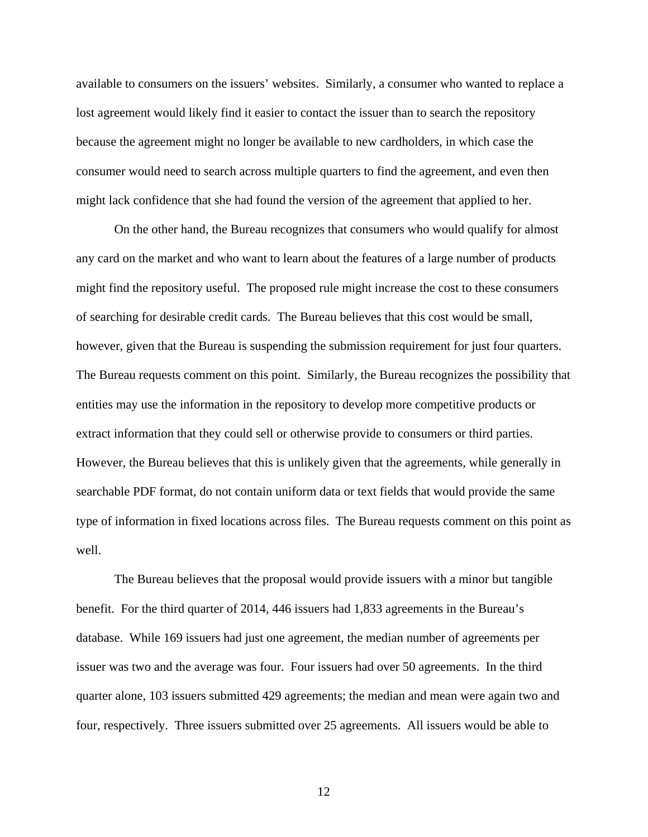available to consumers on the issuers' websites. Similarly, a consumer who wanted to replace a lost agreement would likely find it easier to contact the issuer than to search the repository because the agreement might no longer be available to new cardholders, in which case the consumer would need to search across multiple quarters to find the agreement, and even then might lack confidence that she had found the version of the agreement that applied to her.

On the other hand, the Bureau recognizes that consumers who would qualify for almost any card on the market and who want to learn about the features of a large number of products might find the repository useful. The proposed rule might increase the cost to these consumers of searching for desirable credit cards. The Bureau believes that this cost would be small, however, given that the Bureau is suspending the submission requirement for just four quarters. The Bureau requests comment on this point. Similarly, the Bureau recognizes the possibility that entities may use the information in the repository to develop more competitive products or extract information that they could sell or otherwise provide to consumers or third parties. However, the Bureau believes that this is unlikely given that the agreements, while generally in searchable PDF format, do not contain uniform data or text fields that would provide the same type of information in fixed locations across files. The Bureau requests comment on this point as well.

The Bureau believes that the proposal would provide issuers with a minor but tangible benefit. For the third quarter of 2014, 446 issuers had 1,833 agreements in the Bureau's database. While 169 issuers had just one agreement, the median number of agreements per issuer was two and the average was four. Four issuers had over 50 agreements. In the third quarter alone, 103 issuers submitted 429 agreements; the median and mean were again two and four, respectively. Three issuers submitted over 25 agreements. All issuers would be able to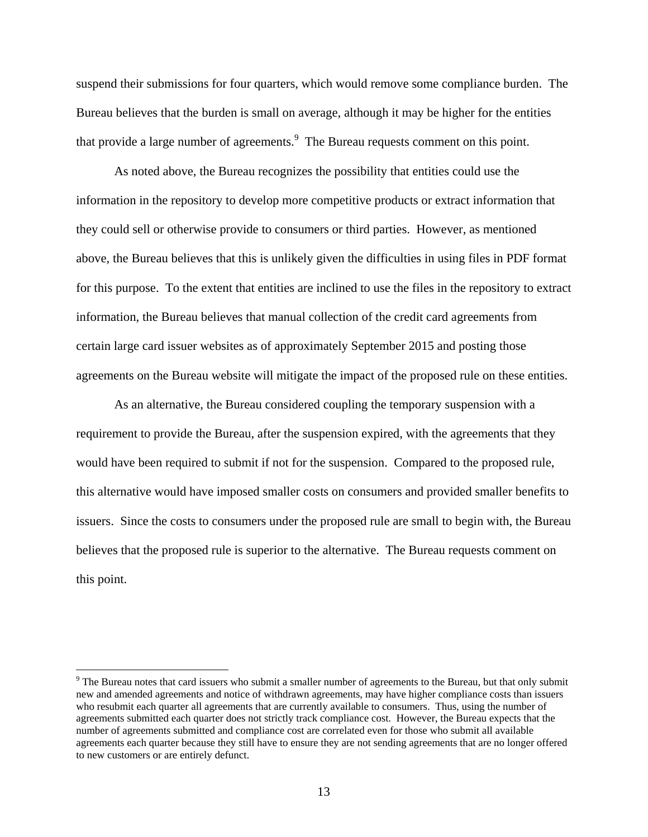suspend their submissions for four quarters, which would remove some compliance burden. The Bureau believes that the burden is small on average, although it may be higher for the entities that provide a large number of agreements.  $9\text{ The Bureau requests comment on this point.}$ 

As noted above, the Bureau recognizes the possibility that entities could use the information in the repository to develop more competitive products or extract information that they could sell or otherwise provide to consumers or third parties. However, as mentioned above, the Bureau believes that this is unlikely given the difficulties in using files in PDF format for this purpose. To the extent that entities are inclined to use the files in the repository to extract information, the Bureau believes that manual collection of the credit card agreements from certain large card issuer websites as of approximately September 2015 and posting those agreements on the Bureau website will mitigate the impact of the proposed rule on these entities.

As an alternative, the Bureau considered coupling the temporary suspension with a requirement to provide the Bureau, after the suspension expired, with the agreements that they would have been required to submit if not for the suspension. Compared to the proposed rule, this alternative would have imposed smaller costs on consumers and provided smaller benefits to issuers. Since the costs to consumers under the proposed rule are small to begin with, the Bureau believes that the proposed rule is superior to the alternative. The Bureau requests comment on this point.

<u>.</u>

 $9^9$  The Bureau notes that card issuers who submit a smaller number of agreements to the Bureau, but that only submit new and amended agreements and notice of withdrawn agreements, may have higher compliance costs than issuers who resubmit each quarter all agreements that are currently available to consumers. Thus, using the number of agreements submitted each quarter does not strictly track compliance cost. However, the Bureau expects that the number of agreements submitted and compliance cost are correlated even for those who submit all available agreements each quarter because they still have to ensure they are not sending agreements that are no longer offered to new customers or are entirely defunct.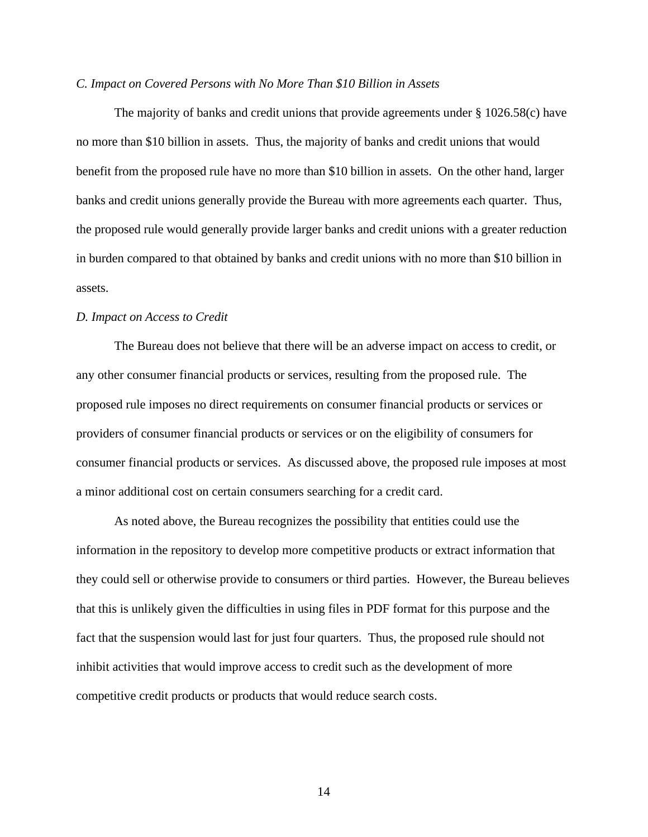# *C. Impact on Covered Persons with No More Than \$10 Billion in Assets*

The majority of banks and credit unions that provide agreements under  $\S 1026.58(c)$  have no more than \$10 billion in assets. Thus, the majority of banks and credit unions that would benefit from the proposed rule have no more than \$10 billion in assets. On the other hand, larger banks and credit unions generally provide the Bureau with more agreements each quarter. Thus, the proposed rule would generally provide larger banks and credit unions with a greater reduction in burden compared to that obtained by banks and credit unions with no more than \$10 billion in assets.

#### *D. Impact on Access to Credit*

The Bureau does not believe that there will be an adverse impact on access to credit, or any other consumer financial products or services, resulting from the proposed rule. The proposed rule imposes no direct requirements on consumer financial products or services or providers of consumer financial products or services or on the eligibility of consumers for consumer financial products or services. As discussed above, the proposed rule imposes at most a minor additional cost on certain consumers searching for a credit card.

As noted above, the Bureau recognizes the possibility that entities could use the information in the repository to develop more competitive products or extract information that they could sell or otherwise provide to consumers or third parties. However, the Bureau believes that this is unlikely given the difficulties in using files in PDF format for this purpose and the fact that the suspension would last for just four quarters. Thus, the proposed rule should not inhibit activities that would improve access to credit such as the development of more competitive credit products or products that would reduce search costs.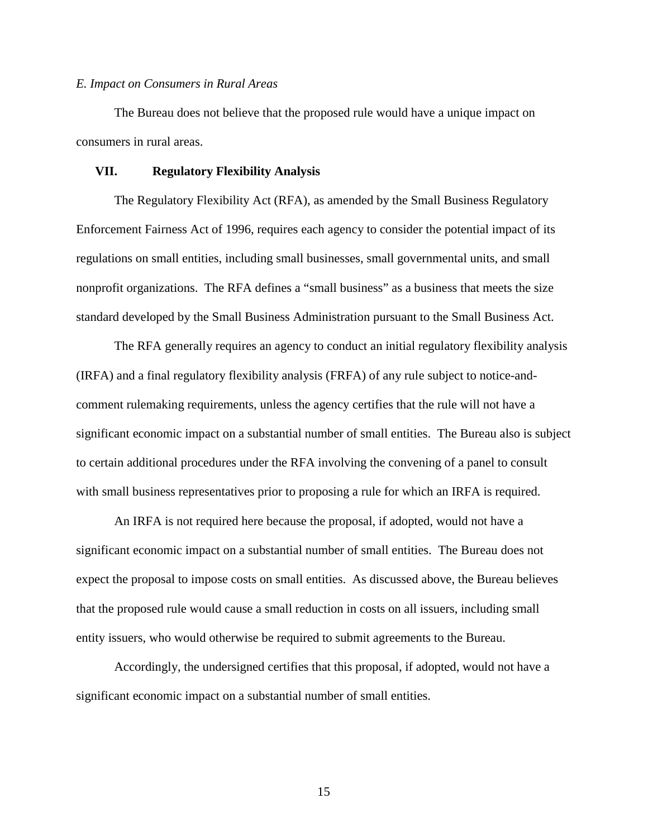#### *E. Impact on Consumers in Rural Areas*

The Bureau does not believe that the proposed rule would have a unique impact on consumers in rural areas.

## **VII. Regulatory Flexibility Analysis**

The Regulatory Flexibility Act (RFA), as amended by the Small Business Regulatory Enforcement Fairness Act of 1996, requires each agency to consider the potential impact of its regulations on small entities, including small businesses, small governmental units, and small nonprofit organizations. The RFA defines a "small business" as a business that meets the size standard developed by the Small Business Administration pursuant to the Small Business Act.

The RFA generally requires an agency to conduct an initial regulatory flexibility analysis (IRFA) and a final regulatory flexibility analysis (FRFA) of any rule subject to notice-andcomment rulemaking requirements, unless the agency certifies that the rule will not have a significant economic impact on a substantial number of small entities. The Bureau also is subject to certain additional procedures under the RFA involving the convening of a panel to consult with small business representatives prior to proposing a rule for which an IRFA is required.

An IRFA is not required here because the proposal, if adopted, would not have a significant economic impact on a substantial number of small entities. The Bureau does not expect the proposal to impose costs on small entities. As discussed above, the Bureau believes that the proposed rule would cause a small reduction in costs on all issuers, including small entity issuers, who would otherwise be required to submit agreements to the Bureau.

Accordingly, the undersigned certifies that this proposal, if adopted, would not have a significant economic impact on a substantial number of small entities.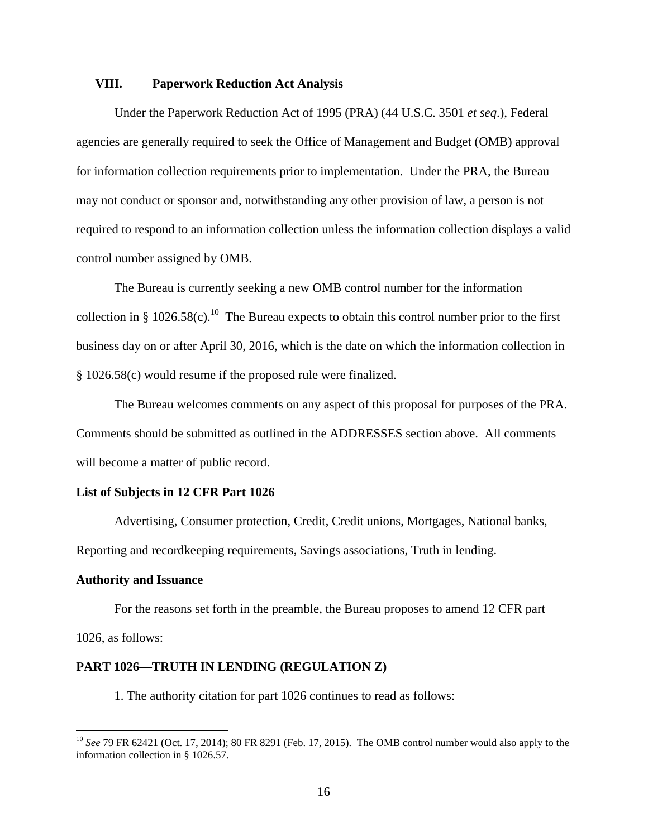# **VIII. Paperwork Reduction Act Analysis**

Under the Paperwork Reduction Act of 1995 (PRA) (44 U.S.C. 3501 *et seq*.), Federal agencies are generally required to seek the Office of Management and Budget (OMB) approval for information collection requirements prior to implementation. Under the PRA, the Bureau may not conduct or sponsor and, notwithstanding any other provision of law, a person is not required to respond to an information collection unless the information collection displays a valid control number assigned by OMB.

The Bureau is currently seeking a new OMB control number for the information collection in § 1026.58(c).<sup>10</sup> The Bureau expects to obtain this control number prior to the first business day on or after April 30, 2016, which is the date on which the information collection in § 1026.58(c) would resume if the proposed rule were finalized.

The Bureau welcomes comments on any aspect of this proposal for purposes of the PRA. Comments should be submitted as outlined in the ADDRESSES section above. All comments will become a matter of public record.

# **List of Subjects in 12 CFR Part 1026**

Advertising, Consumer protection, Credit, Credit unions, Mortgages, National banks, Reporting and recordkeeping requirements, Savings associations, Truth in lending.

## **Authority and Issuance**

 $\overline{a}$ 

For the reasons set forth in the preamble, the Bureau proposes to amend 12 CFR part 1026, as follows:

# **PART 1026—TRUTH IN LENDING (REGULATION Z)**

1. The authority citation for part 1026 continues to read as follows:

<sup>&</sup>lt;sup>10</sup> See 79 FR 62421 (Oct. 17, 2014); 80 FR 8291 (Feb. 17, 2015). The OMB control number would also apply to the information collection in § 1026.57.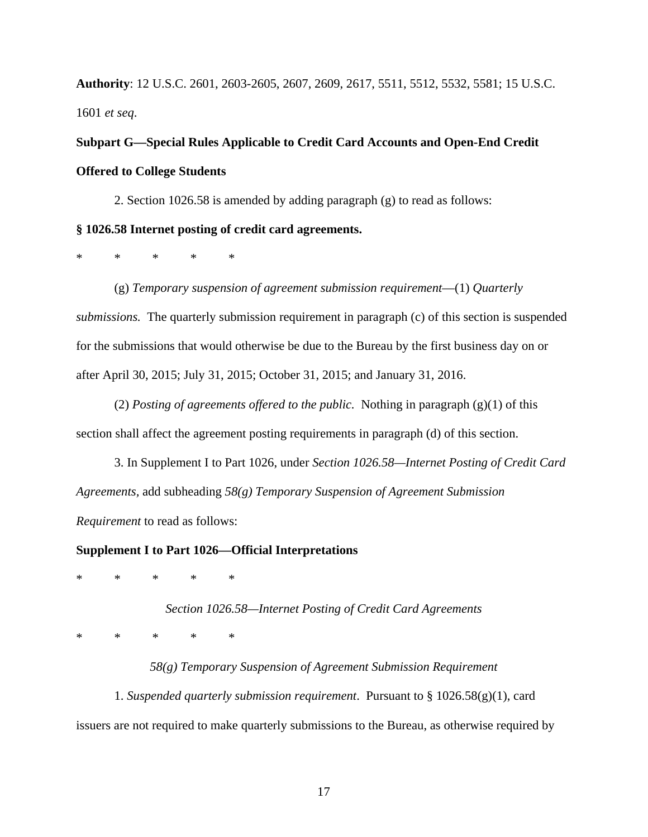**Authority**: 12 U.S.C. 2601, 2603-2605, 2607, 2609, 2617, 5511, 5512, 5532, 5581; 15 U.S.C. 1601 *et seq*.

**Subpart G—Special Rules Applicable to Credit Card Accounts and Open-End Credit Offered to College Students** 

2. Section 1026.58 is amended by adding paragraph (g) to read as follows:

# **§ 1026.58 Internet posting of credit card agreements.**

\* \* \* \* \*

(g) *Temporary suspension of agreement submission requirement*—(1) *Quarterly submissions.* The quarterly submission requirement in paragraph (c) of this section is suspended for the submissions that would otherwise be due to the Bureau by the first business day on or after April 30, 2015; July 31, 2015; October 31, 2015; and January 31, 2016.

(2) *Posting of agreements offered to the public.* Nothing in paragraph (g)(1) of this section shall affect the agreement posting requirements in paragraph (d) of this section.

3. In Supplement I to Part 1026, under *Section 1026.58—Internet Posting of Credit Card Agreements,* add subheading *58(g) Temporary Suspension of Agreement Submission Requirement* to read as follows:

# **Supplement I to Part 1026—Official Interpretations**

\* \* \* \* \*

*Section 1026.58—Internet Posting of Credit Card Agreements* 

\* \* \* \* \*

*58(g) Temporary Suspension of Agreement Submission Requirement* 

1. *Suspended quarterly submission requirement*. Pursuant to § 1026.58(g)(1), card issuers are not required to make quarterly submissions to the Bureau, as otherwise required by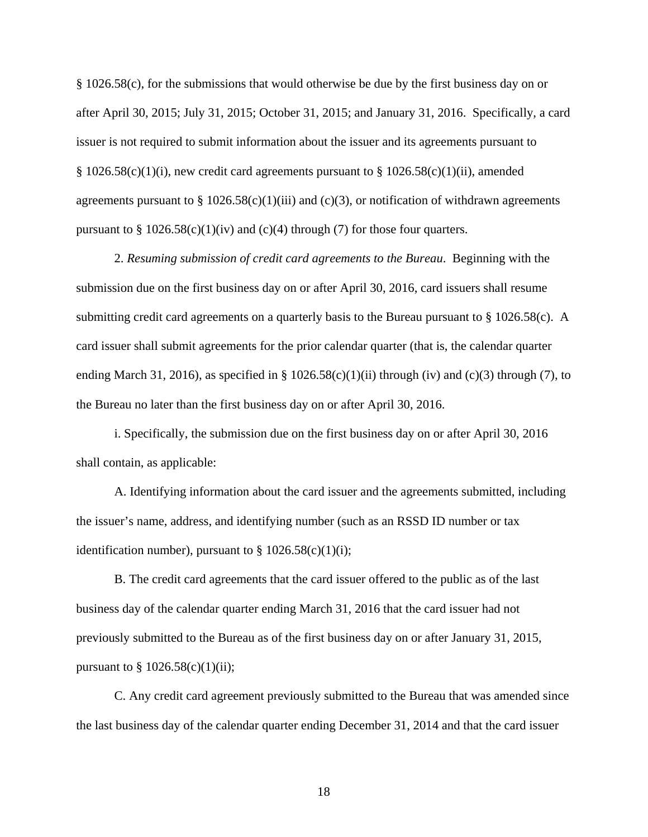§ 1026.58(c), for the submissions that would otherwise be due by the first business day on or after April 30, 2015; July 31, 2015; October 31, 2015; and January 31, 2016. Specifically, a card issuer is not required to submit information about the issuer and its agreements pursuant to  $§ 1026.58(c)(1)(i)$ , new credit card agreements pursuant to  $§ 1026.58(c)(1)(ii)$ , amended agreements pursuant to  $\S 1026.58(c)(1)(iii)$  and (c)(3), or notification of withdrawn agreements pursuant to  $\S 1026.58(c)(1)(iv)$  and (c)(4) through (7) for those four quarters.

2. *Resuming submission of credit card agreements to the Bureau*. Beginning with the submission due on the first business day on or after April 30, 2016, card issuers shall resume submitting credit card agreements on a quarterly basis to the Bureau pursuant to § 1026.58(c). A card issuer shall submit agreements for the prior calendar quarter (that is, the calendar quarter ending March 31, 2016), as specified in § 1026.58(c)(1)(ii) through (iv) and (c)(3) through (7), to the Bureau no later than the first business day on or after April 30, 2016.

i. Specifically, the submission due on the first business day on or after April 30, 2016 shall contain, as applicable:

A. Identifying information about the card issuer and the agreements submitted, including the issuer's name, address, and identifying number (such as an RSSD ID number or tax identification number), pursuant to  $\S 1026.58(c)(1)(i);$ 

B. The credit card agreements that the card issuer offered to the public as of the last business day of the calendar quarter ending March 31, 2016 that the card issuer had not previously submitted to the Bureau as of the first business day on or after January 31, 2015, pursuant to  $\S 1026.58(c)(1)(ii);$ 

C. Any credit card agreement previously submitted to the Bureau that was amended since the last business day of the calendar quarter ending December 31, 2014 and that the card issuer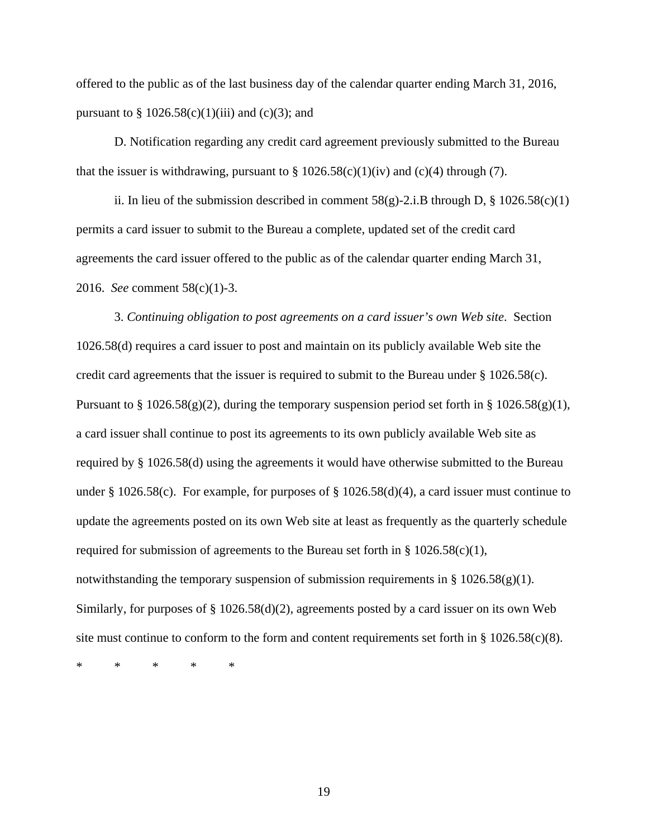offered to the public as of the last business day of the calendar quarter ending March 31, 2016, pursuant to  $\S 1026.58(c)(1)(iii)$  and (c)(3); and

D. Notification regarding any credit card agreement previously submitted to the Bureau that the issuer is withdrawing, pursuant to  $\S 1026.58(c)(1)(iv)$  and (c)(4) through (7).

ii. In lieu of the submission described in comment  $58(g)$ -2.i.B through D, § 1026.58(c)(1) permits a card issuer to submit to the Bureau a complete, updated set of the credit card agreements the card issuer offered to the public as of the calendar quarter ending March 31, 2016. *See* comment 58(c)(1)-3.

3. *Continuing obligation to post agreements on a card issuer's own Web site*. Section 1026.58(d) requires a card issuer to post and maintain on its publicly available Web site the credit card agreements that the issuer is required to submit to the Bureau under § 1026.58(c). Pursuant to § 1026.58(g)(2), during the temporary suspension period set forth in § 1026.58(g)(1), a card issuer shall continue to post its agreements to its own publicly available Web site as required by § 1026.58(d) using the agreements it would have otherwise submitted to the Bureau under § 1026.58(c). For example, for purposes of § 1026.58(d)(4), a card issuer must continue to update the agreements posted on its own Web site at least as frequently as the quarterly schedule required for submission of agreements to the Bureau set forth in  $\S 1026.58(c)(1)$ , notwithstanding the temporary suspension of submission requirements in §  $1026.58(g)(1)$ . Similarly, for purposes of  $\S 1026.58(d)(2)$ , agreements posted by a card issuer on its own Web site must continue to conform to the form and content requirements set forth in  $\S 1026.58(c)(8)$ .

\* \* \* \* \*